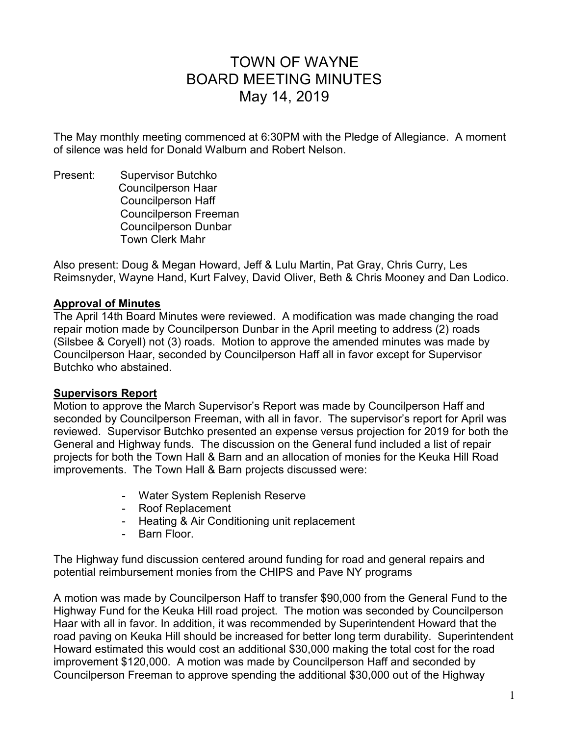# TOWN OF WAYNE BOARD MEETING MINUTES May 14, 2019

The May monthly meeting commenced at 6:30PM with the Pledge of Allegiance. A moment of silence was held for Donald Walburn and Robert Nelson.

Present: Supervisor Butchko Councilperson Haar Councilperson Haff Councilperson Freeman Councilperson Dunbar Town Clerk Mahr

Also present: Doug & Megan Howard, Jeff & Lulu Martin, Pat Gray, Chris Curry, Les Reimsnyder, Wayne Hand, Kurt Falvey, David Oliver, Beth & Chris Mooney and Dan Lodico.

### **Approval of Minutes**

The April 14th Board Minutes were reviewed. A modification was made changing the road repair motion made by Councilperson Dunbar in the April meeting to address (2) roads (Silsbee & Coryell) not (3) roads. Motion to approve the amended minutes was made by Councilperson Haar, seconded by Councilperson Haff all in favor except for Supervisor Butchko who abstained.

#### **Supervisors Report**

Motion to approve the March Supervisor's Report was made by Councilperson Haff and seconded by Councilperson Freeman, with all in favor. The supervisor's report for April was reviewed. Supervisor Butchko presented an expense versus projection for 2019 for both the General and Highway funds. The discussion on the General fund included a list of repair projects for both the Town Hall & Barn and an allocation of monies for the Keuka Hill Road improvements. The Town Hall & Barn projects discussed were:

- Water System Replenish Reserve
- Roof Replacement
- Heating & Air Conditioning unit replacement
- Barn Floor.

The Highway fund discussion centered around funding for road and general repairs and potential reimbursement monies from the CHIPS and Pave NY programs

A motion was made by Councilperson Haff to transfer \$90,000 from the General Fund to the Highway Fund for the Keuka Hill road project. The motion was seconded by Councilperson Haar with all in favor. In addition, it was recommended by Superintendent Howard that the road paving on Keuka Hill should be increased for better long term durability. Superintendent Howard estimated this would cost an additional \$30,000 making the total cost for the road improvement \$120,000. A motion was made by Councilperson Haff and seconded by Councilperson Freeman to approve spending the additional \$30,000 out of the Highway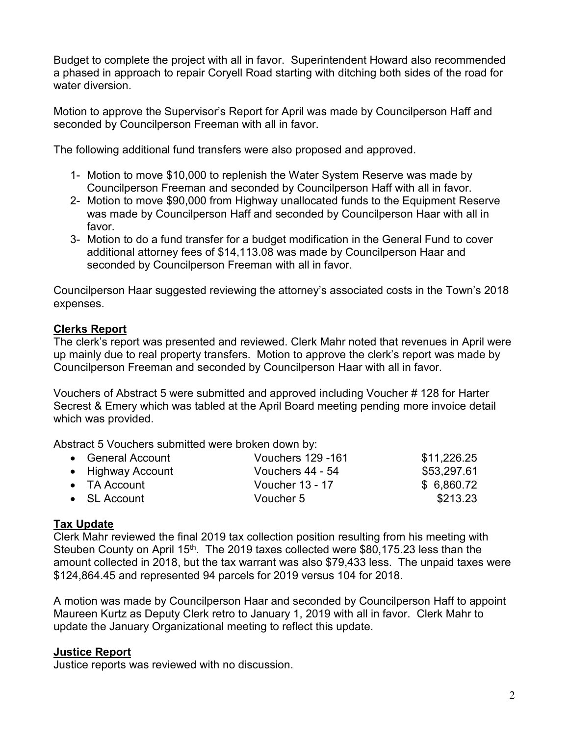Budget to complete the project with all in favor. Superintendent Howard also recommended a phased in approach to repair Coryell Road starting with ditching both sides of the road for water diversion.

Motion to approve the Supervisor's Report for April was made by Councilperson Haff and seconded by Councilperson Freeman with all in favor.

The following additional fund transfers were also proposed and approved.

- 1- Motion to move \$10,000 to replenish the Water System Reserve was made by Councilperson Freeman and seconded by Councilperson Haff with all in favor.
- 2- Motion to move \$90,000 from Highway unallocated funds to the Equipment Reserve was made by Councilperson Haff and seconded by Councilperson Haar with all in favor.
- 3- Motion to do a fund transfer for a budget modification in the General Fund to cover additional attorney fees of \$14,113.08 was made by Councilperson Haar and seconded by Councilperson Freeman with all in favor.

Councilperson Haar suggested reviewing the attorney's associated costs in the Town's 2018 expenses.

## **Clerks Report**

The clerk's report was presented and reviewed. Clerk Mahr noted that revenues in April were up mainly due to real property transfers. Motion to approve the clerk's report was made by Councilperson Freeman and seconded by Councilperson Haar with all in favor.

Vouchers of Abstract 5 were submitted and approved including Voucher # 128 for Harter Secrest & Emery which was tabled at the April Board meeting pending more invoice detail which was provided.

Abstract 5 Vouchers submitted were broken down by:

| • General Account    | <b>Vouchers 129 -161</b> | \$11,226.25 |
|----------------------|--------------------------|-------------|
| • Highway Account    | Vouchers 44 - 54         | \$53,297.61 |
| $\bullet$ TA Account | <b>Voucher 13 - 17</b>   | \$6,860.72  |
| $\bullet$ SL Account | Voucher 5                | \$213.23    |

## **Tax Update**

Clerk Mahr reviewed the final 2019 tax collection position resulting from his meeting with Steuben County on April 15<sup>th</sup>. The 2019 taxes collected were \$80,175.23 less than the amount collected in 2018, but the tax warrant was also \$79,433 less. The unpaid taxes were \$124,864.45 and represented 94 parcels for 2019 versus 104 for 2018.

A motion was made by Councilperson Haar and seconded by Councilperson Haff to appoint Maureen Kurtz as Deputy Clerk retro to January 1, 2019 with all in favor. Clerk Mahr to update the January Organizational meeting to reflect this update.

## **Justice Report**

Justice reports was reviewed with no discussion.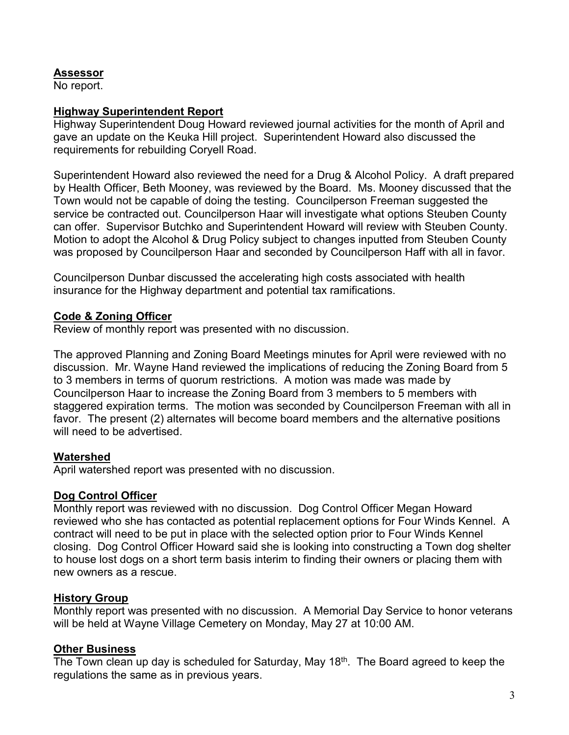## **Assessor**

No report.

#### **Highway Superintendent Report**

Highway Superintendent Doug Howard reviewed journal activities for the month of April and gave an update on the Keuka Hill project. Superintendent Howard also discussed the requirements for rebuilding Coryell Road.

Superintendent Howard also reviewed the need for a Drug & Alcohol Policy. A draft prepared by Health Officer, Beth Mooney, was reviewed by the Board. Ms. Mooney discussed that the Town would not be capable of doing the testing. Councilperson Freeman suggested the service be contracted out. Councilperson Haar will investigate what options Steuben County can offer. Supervisor Butchko and Superintendent Howard will review with Steuben County. Motion to adopt the Alcohol & Drug Policy subject to changes inputted from Steuben County was proposed by Councilperson Haar and seconded by Councilperson Haff with all in favor.

Councilperson Dunbar discussed the accelerating high costs associated with health insurance for the Highway department and potential tax ramifications.

### **Code & Zoning Officer**

Review of monthly report was presented with no discussion.

The approved Planning and Zoning Board Meetings minutes for April were reviewed with no discussion. Mr. Wayne Hand reviewed the implications of reducing the Zoning Board from 5 to 3 members in terms of quorum restrictions. A motion was made was made by Councilperson Haar to increase the Zoning Board from 3 members to 5 members with staggered expiration terms. The motion was seconded by Councilperson Freeman with all in favor. The present (2) alternates will become board members and the alternative positions will need to be advertised.

## **Watershed**

April watershed report was presented with no discussion.

## **Dog Control Officer**

Monthly report was reviewed with no discussion. Dog Control Officer Megan Howard reviewed who she has contacted as potential replacement options for Four Winds Kennel. A contract will need to be put in place with the selected option prior to Four Winds Kennel closing. Dog Control Officer Howard said she is looking into constructing a Town dog shelter to house lost dogs on a short term basis interim to finding their owners or placing them with new owners as a rescue.

## **History Group**

Monthly report was presented with no discussion. A Memorial Day Service to honor veterans will be held at Wayne Village Cemetery on Monday, May 27 at 10:00 AM.

## **Other Business**

The Town clean up day is scheduled for Saturday, May 18<sup>th</sup>. The Board agreed to keep the regulations the same as in previous years.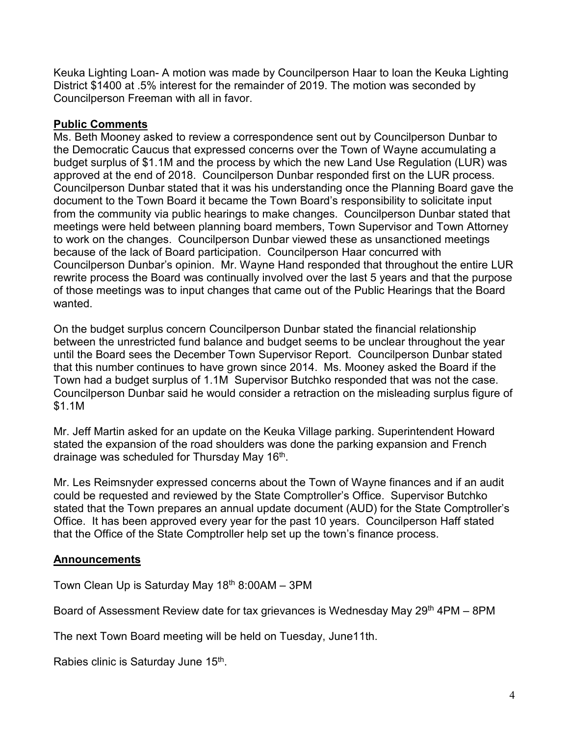Keuka Lighting Loan- A motion was made by Councilperson Haar to loan the Keuka Lighting District \$1400 at .5% interest for the remainder of 2019. The motion was seconded by Councilperson Freeman with all in favor.

## **Public Comments**

Ms. Beth Mooney asked to review a correspondence sent out by Councilperson Dunbar to the Democratic Caucus that expressed concerns over the Town of Wayne accumulating a budget surplus of \$1.1M and the process by which the new Land Use Regulation (LUR) was approved at the end of 2018. Councilperson Dunbar responded first on the LUR process. Councilperson Dunbar stated that it was his understanding once the Planning Board gave the document to the Town Board it became the Town Board's responsibility to solicitate input from the community via public hearings to make changes. Councilperson Dunbar stated that meetings were held between planning board members, Town Supervisor and Town Attorney to work on the changes. Councilperson Dunbar viewed these as unsanctioned meetings because of the lack of Board participation. Councilperson Haar concurred with Councilperson Dunbar's opinion. Mr. Wayne Hand responded that throughout the entire LUR rewrite process the Board was continually involved over the last 5 years and that the purpose of those meetings was to input changes that came out of the Public Hearings that the Board wanted.

On the budget surplus concern Councilperson Dunbar stated the financial relationship between the unrestricted fund balance and budget seems to be unclear throughout the year until the Board sees the December Town Supervisor Report. Councilperson Dunbar stated that this number continues to have grown since 2014. Ms. Mooney asked the Board if the Town had a budget surplus of 1.1M Supervisor Butchko responded that was not the case. Councilperson Dunbar said he would consider a retraction on the misleading surplus figure of \$1.1M

Mr. Jeff Martin asked for an update on the Keuka Village parking. Superintendent Howard stated the expansion of the road shoulders was done the parking expansion and French drainage was scheduled for Thursday May 16<sup>th</sup>.

Mr. Les Reimsnyder expressed concerns about the Town of Wayne finances and if an audit could be requested and reviewed by the State Comptroller's Office. Supervisor Butchko stated that the Town prepares an annual update document (AUD) for the State Comptroller's Office. It has been approved every year for the past 10 years. Councilperson Haff stated that the Office of the State Comptroller help set up the town's finance process.

## **Announcements**

Town Clean Up is Saturday May  $18<sup>th</sup> 8:00AM - 3PM$ 

Board of Assessment Review date for tax grievances is Wednesday May 29<sup>th</sup> 4PM – 8PM

The next Town Board meeting will be held on Tuesday, June11th.

Rabies clinic is Saturday June 15<sup>th</sup>.